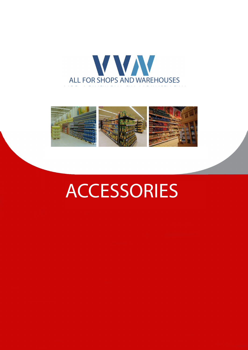



# **ACCESSORIES**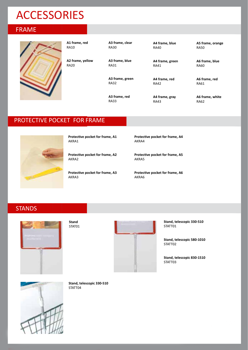## ACCESSORIES

#### FRAME



**A1 frame, red** RA10

RA20

**A2 frame, yellow**

**A3 frame, clear** RA30

**A3 frame, blue** RA31

**A3 frame, green** RA32

**A3 frame, red** RA33

**A4 frame, blue** RA40

**A4 frame, green**

**A4 frame, red** RA42

**A4 frame, gray**

RA41

RA43

**A5 frame, orange** RA50

**A6 frame, blue** RA60

**A6 frame, red** RA61

**A6 frame, white** RA62

#### PROTECTIVE POCKET FOR FRAME



**Protective pocket for frame, A1** AKRA1

**Protective pocket for frame, A2** AKRA2

**Protective pocket for frame, A3** AKRA3

**Protective pocket for frame, A4** AKRA4

**Protective pocket for frame, A5** AKRA5

**Protective pocket for frame, A6** AKRA6

#### **STANDS**



**Stand** STAT01



**Stand, telescopic 330-510** STATT01

**Stand, telescopic 580-1010** STATT02

**Stand, telescopic 830-1510** STATT03



**Stand, telescopic 330-510** STATT04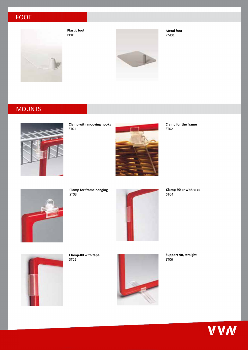## FOOT



**Plastic foot** PP01

**Metal foot** PM01



#### **MOUNTS**



**Clamp with mooving hooks** ST01



**Clamp for the frame** ST<sub>02</sub>



**Clamp for frame hanging** ST03



**Clamp-90 ar with tape** ST04



**Clamp-00 with tape** ST05



**Support-90, straight** ST06

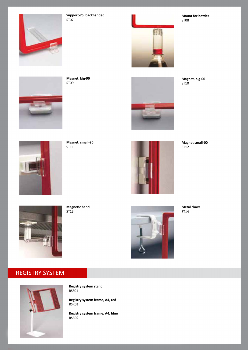

**Support-75, backhanded** ST07



**Mount for bottles** ST08



**Magnet, big-00** ST10



**Magnet, big-90** ST09



**Magnet small-00**



**Magnet, small-90** ST11



ST12



**Magnetic hand** ST13



**Metal claws** ST14

## REGISTRY SYSTEM



**Registry system stand** RSS01

**Registry system frame, A4, red** RSR01

**Registry system frame, A4, blue** RSR02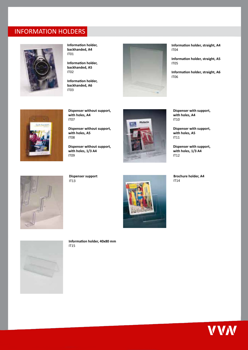## INFORMATION HOLDERS



**Information holder, backhanded, A4** IT01

**Information holder, backhanded, A5** IT02

**Information holder, backhanded, A6** IT03



**Information holder, straight, A4** IT04

**Information holder, straight, A5** IT05

**Information holder, straight, A6** IT06



**Dispenser without support, with holes, A4** IT07

**Dispenser without support, with holes, A5** IT08

**Dispenser without support, with holes, 1/3 A4** IT09



**Dispenser with support, with holes, A4** IT10

**Dispenser with support, with holes, A5** IT11

**Dispenser with support, with holes, 1/3 A4** IT12



**Dispenser support** IT13



**Brochure holder, A4** IT14



**Information holder, 40x80 mm** IT15

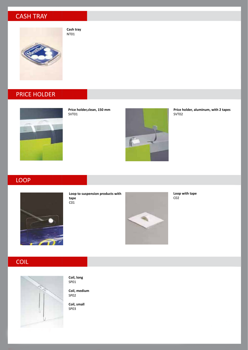## CASH TRAY



**Cash tray** NT01

## PRICE HOLDER



**Price holder,clean, 150 mm** SVT01



**Price holder, aluminum, with 2 tapes** SVT02

#### LOOP



**Loop to suspension products with tape**  $\overline{c01}$ 



**Loop with tape**  $CO<sub>2</sub>$ 

## COIL



**Coil, long** SP01

**Coil, medium** SP02

**Coil, small** SP03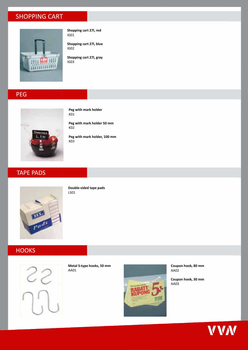## SHOPPING CART



**Shopping cart 27l, red** IG01

**Shopping cart 27l, blue** IG02

**Shopping cart 27l, gray** IG03

#### PEG



**Peg with mark holder** K01

**Peg with mark holder 50 mm** K02

**Peg with mark holder, 100 mm** K03

## TAPE PADS



**Double-sided tape pads** LS01

#### **HOOKS**



**Metal S-type hooks, 50 mm** AA01



**Coupon hook, 80 mm** AA02

**Coupon hook, 30 mm** AA03

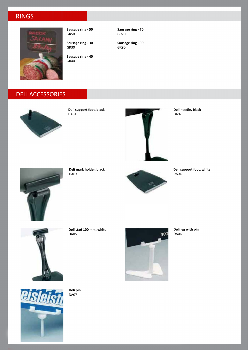## RINGS



**Sausage ring - 50** GR50

**Sausage ring - 30** GR30

**Sausage ring - 40** GR40

**Sausage ring - 70** GR70

**Sausage ring - 90** GR90

#### DELI ACCESSORIES



**Deli support foot, black** DA01



**Deli needle, black** DA02



**Deli mark holder, black** DA03



**Deli support foot, white** DA04



**Deli stad 100 mm, white** DA05



**Deli leg with pin** DA06



**Deli pin** DA07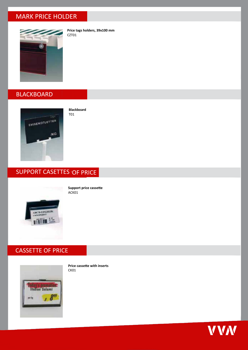#### MARK PRICE HOLDER



**Price tags holders, 39x100 mm** CZT01

#### **BLACKBOARD**



**Blackboard** T01

#### SUPPORT CASETTES OF PRICE



**Support price cassette** ACK01

#### CASSETTE OF PRICE



**Price cassette with inserts** CK01

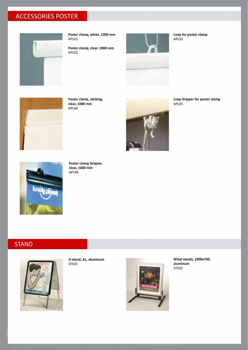## ACCESSORIES POSTER



**Poster clamp, white, 1200 mm** APL01

**Poster clamp, clear, 1000 mm** APL02



**Loop for poster clamp** APL03



**Poster clamp, sticking, clear, 1000 mm** APL04



**Loop Gripper for poster clamp** APL05



**Poster clamp Gripper, clear, 1000 mm** APL06

#### **STAND**



**A-stend, A1, aluminum** STE01



**Wind stends, 1000x700, aluminum** STE02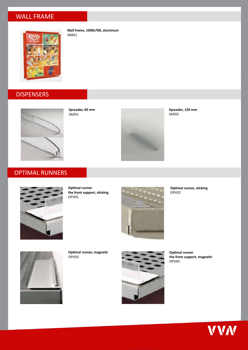#### WALL FRAME



**Wall frame, 1000x700, aluminum** SNR01

## **DISPENSERS**



**Spreader, 60 mm** SAD01



**Spreader, 120 mm** SAD02

## OPTIMAL RUNNERS



**Optimal runner the front support, sticking** OPV01



**Optimal runner, sticking** OPV02



**Optimal runner, magnetic** OPV03



**Optimal runner the front support, magnetic** OPV04